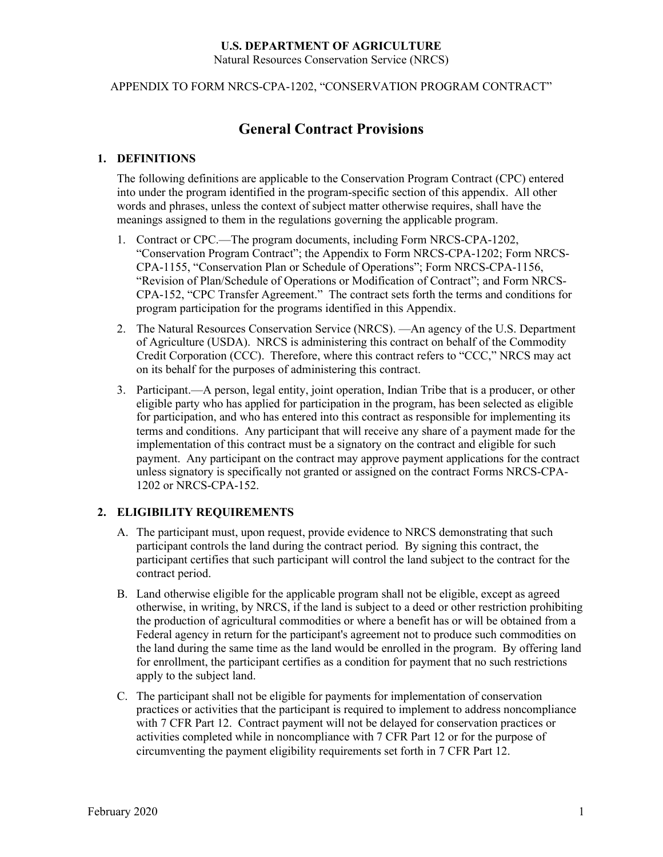Natural Resources Conservation Service (NRCS)

APPENDIX TO FORM NRCS-CPA-1202, "CONSERVATION PROGRAM CONTRACT"

### **General Contract Provisions**

#### **1. DEFINITIONS**

The following definitions are applicable to the Conservation Program Contract (CPC) entered into under the program identified in the program-specific section of this appendix. All other words and phrases, unless the context of subject matter otherwise requires, shall have the meanings assigned to them in the regulations governing the applicable program.

- 1. Contract or CPC.—The program documents, including Form NRCS-CPA-1202, "Conservation Program Contract"; the Appendix to Form NRCS-CPA-1202; Form NRCS-CPA-1155, "Conservation Plan or Schedule of Operations"; Form NRCS-CPA-1156, "Revision of Plan/Schedule of Operations or Modification of Contract"; and Form NRCS-CPA-152, "CPC Transfer Agreement." The contract sets forth the terms and conditions for program participation for the programs identified in this Appendix.
- 2. The Natural Resources Conservation Service (NRCS). —An agency of the U.S. Department of Agriculture (USDA). NRCS is administering this contract on behalf of the Commodity Credit Corporation (CCC). Therefore, where this contract refers to "CCC," NRCS may act on its behalf for the purposes of administering this contract.
- 3. Participant.—A person, legal entity, joint operation, Indian Tribe that is a producer, or other eligible party who has applied for participation in the program, has been selected as eligible for participation, and who has entered into this contract as responsible for implementing its terms and conditions. Any participant that will receive any share of a payment made for the implementation of this contract must be a signatory on the contract and eligible for such payment. Any participant on the contract may approve payment applications for the contract unless signatory is specifically not granted or assigned on the contract Forms NRCS-CPA-1202 or NRCS-CPA-152.

#### **2. ELIGIBILITY REQUIREMENTS**

- A. The participant must, upon request, provide evidence to NRCS demonstrating that such participant controls the land during the contract period. By signing this contract, the participant certifies that such participant will control the land subject to the contract for the contract period.
- B. Land otherwise eligible for the applicable program shall not be eligible, except as agreed otherwise, in writing, by NRCS, if the land is subject to a deed or other restriction prohibiting the production of agricultural commodities or where a benefit has or will be obtained from a Federal agency in return for the participant's agreement not to produce such commodities on the land during the same time as the land would be enrolled in the program. By offering land for enrollment, the participant certifies as a condition for payment that no such restrictions apply to the subject land.
- C. The participant shall not be eligible for payments for implementation of conservation practices or activities that the participant is required to implement to address noncompliance with 7 CFR Part 12. Contract payment will not be delayed for conservation practices or activities completed while in noncompliance with 7 CFR Part 12 or for the purpose of circumventing the payment eligibility requirements set forth in 7 CFR Part 12.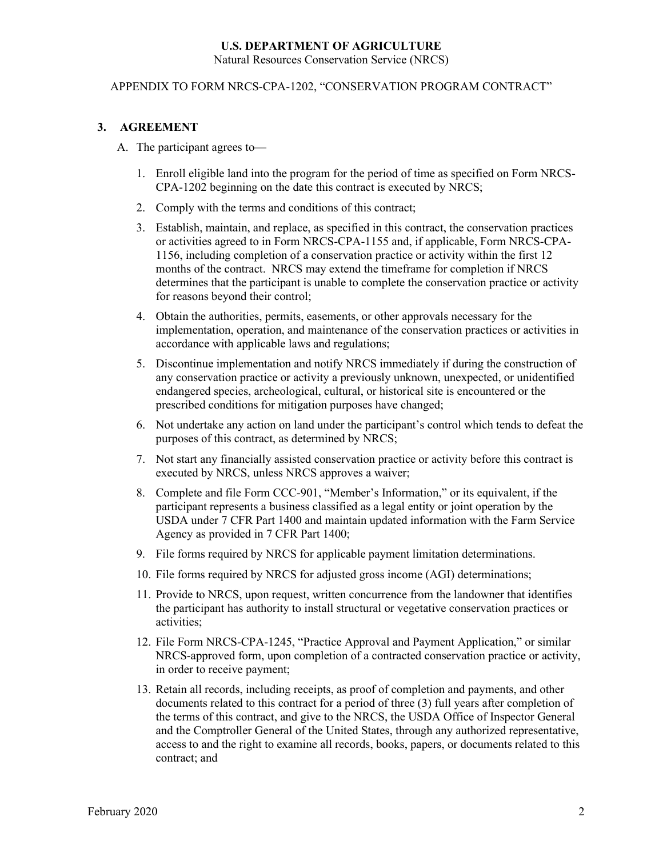#### APPENDIX TO FORM NRCS-CPA-1202, "CONSERVATION PROGRAM CONTRACT"

#### **3. AGREEMENT**

- A. The participant agrees to—
	- 1. Enroll eligible land into the program for the period of time as specified on Form NRCS-CPA-1202 beginning on the date this contract is executed by NRCS;
	- 2. Comply with the terms and conditions of this contract;
	- 3. Establish, maintain, and replace, as specified in this contract, the conservation practices or activities agreed to in Form NRCS-CPA-1155 and, if applicable, Form NRCS-CPA-1156, including completion of a conservation practice or activity within the first 12 months of the contract. NRCS may extend the timeframe for completion if NRCS determines that the participant is unable to complete the conservation practice or activity for reasons beyond their control;
	- 4. Obtain the authorities, permits, easements, or other approvals necessary for the implementation, operation, and maintenance of the conservation practices or activities in accordance with applicable laws and regulations;
	- 5. Discontinue implementation and notify NRCS immediately if during the construction of any conservation practice or activity a previously unknown, unexpected, or unidentified endangered species, archeological, cultural, or historical site is encountered or the prescribed conditions for mitigation purposes have changed;
	- 6. Not undertake any action on land under the participant's control which tends to defeat the purposes of this contract, as determined by NRCS;
	- 7. Not start any financially assisted conservation practice or activity before this contract is executed by NRCS, unless NRCS approves a waiver;
	- 8. Complete and file Form CCC-901, "Member's Information," or its equivalent, if the participant represents a business classified as a legal entity or joint operation by the USDA under 7 CFR Part 1400 and maintain updated information with the Farm Service Agency as provided in 7 CFR Part 1400;
	- 9. File forms required by NRCS for applicable payment limitation determinations.
	- 10. File forms required by NRCS for adjusted gross income (AGI) determinations;
	- 11. Provide to NRCS, upon request, written concurrence from the landowner that identifies the participant has authority to install structural or vegetative conservation practices or activities;
	- 12. File Form NRCS-CPA-1245, "Practice Approval and Payment Application," or similar NRCS-approved form, upon completion of a contracted conservation practice or activity, in order to receive payment;
	- 13. Retain all records, including receipts, as proof of completion and payments, and other documents related to this contract for a period of three (3) full years after completion of the terms of this contract, and give to the NRCS, the USDA Office of Inspector General and the Comptroller General of the United States, through any authorized representative, access to and the right to examine all records, books, papers, or documents related to this contract; and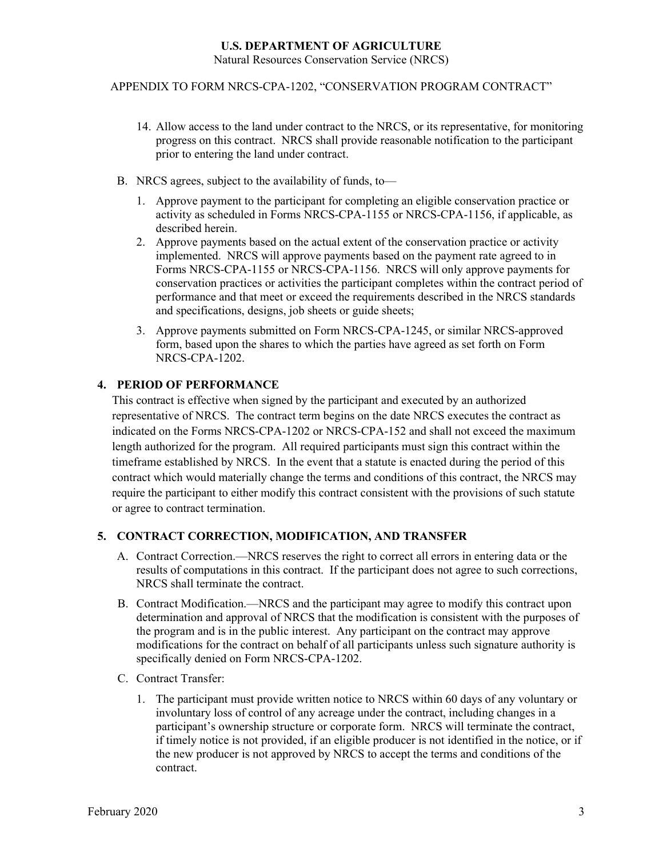Natural Resources Conservation Service (NRCS)

#### APPENDIX TO FORM NRCS-CPA-1202, "CONSERVATION PROGRAM CONTRACT"

- 14. Allow access to the land under contract to the NRCS, or its representative, for monitoring progress on this contract. NRCS shall provide reasonable notification to the participant prior to entering the land under contract.
- B. NRCS agrees, subject to the availability of funds, to—
	- 1. Approve payment to the participant for completing an eligible conservation practice or activity as scheduled in Forms NRCS-CPA-1155 or NRCS-CPA-1156, if applicable, as described herein.
	- 2. Approve payments based on the actual extent of the conservation practice or activity implemented. NRCS will approve payments based on the payment rate agreed to in Forms NRCS-CPA-1155 or NRCS-CPA-1156. NRCS will only approve payments for conservation practices or activities the participant completes within the contract period of performance and that meet or exceed the requirements described in the NRCS standards and specifications, designs, job sheets or guide sheets;
	- 3. Approve payments submitted on Form NRCS-CPA-1245, or similar NRCS-approved form, based upon the shares to which the parties have agreed as set forth on Form NRCS-CPA-1202.

#### **4. PERIOD OF PERFORMANCE**

This contract is effective when signed by the participant and executed by an authorized representative of NRCS. The contract term begins on the date NRCS executes the contract as indicated on the Forms NRCS-CPA-1202 or NRCS-CPA-152 and shall not exceed the maximum length authorized for the program. All required participants must sign this contract within the timeframe established by NRCS. In the event that a statute is enacted during the period of this contract which would materially change the terms and conditions of this contract, the NRCS may require the participant to either modify this contract consistent with the provisions of such statute or agree to contract termination.

#### **5. CONTRACT CORRECTION, MODIFICATION, AND TRANSFER**

- A. Contract Correction.—NRCS reserves the right to correct all errors in entering data or the results of computations in this contract. If the participant does not agree to such corrections, NRCS shall terminate the contract.
- B. Contract Modification.—NRCS and the participant may agree to modify this contract upon determination and approval of NRCS that the modification is consistent with the purposes of the program and is in the public interest. Any participant on the contract may approve modifications for the contract on behalf of all participants unless such signature authority is specifically denied on Form NRCS-CPA-1202.
- C. Contract Transfer:
	- 1. The participant must provide written notice to NRCS within 60 days of any voluntary or involuntary loss of control of any acreage under the contract, including changes in a participant's ownership structure or corporate form. NRCS will terminate the contract, if timely notice is not provided, if an eligible producer is not identified in the notice, or if the new producer is not approved by NRCS to accept the terms and conditions of the contract.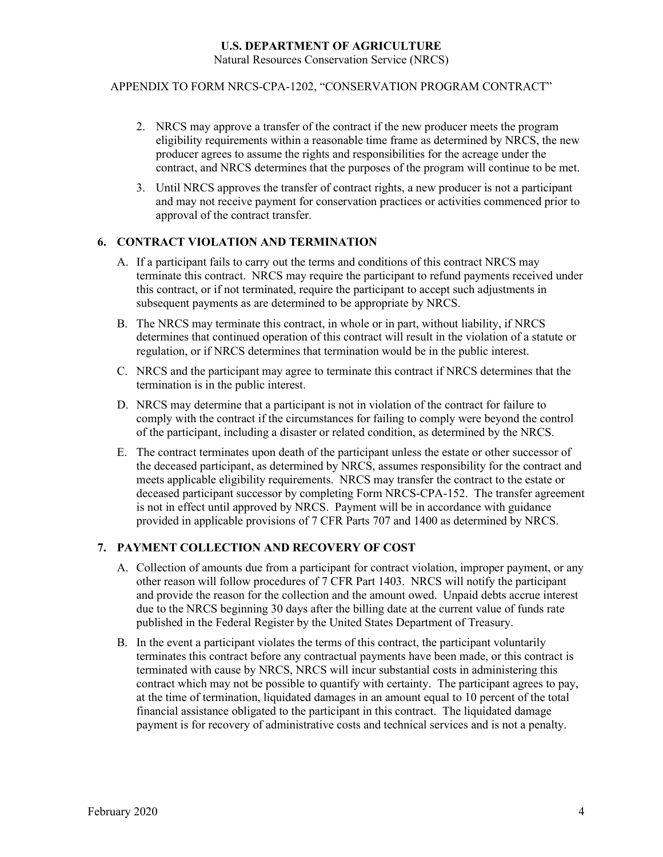Natural Resources Conservation Service (NRCS)

#### APPENDIX TO FORM NRCS-CPA-1202, "CONSERVATION PROGRAM CONTRACT"

- 2. NRCS may approve a transfer of the contract if the new producer meets the program eligibility requirements within a reasonable time frame as determined by NRCS, the new producer agrees to assume the rights and responsibilities for the acreage under the contract, and NRCS determines that the purposes of the program will continue to be met.
- 3. Until NRCS approves the transfer of contract rights, a new producer is not a participant and may not receive payment for conservation practices or activities commenced prior to approval of the contract transfer.

#### **6. CONTRACT VIOLATION AND TERMINATION**

- A. If a participant fails to carry out the terms and conditions of this contract NRCS may terminate this contract. NRCS may require the participant to refund payments received under this contract, or if not terminated, require the participant to accept such adjustments in subsequent payments as are determined to be appropriate by NRCS.
- B. The NRCS may terminate this contract, in whole or in part, without liability, if NRCS determines that continued operation of this contract will result in the violation of a statute or regulation, or if NRCS determines that termination would be in the public interest.
- C. NRCS and the participant may agree to terminate this contract if NRCS determines that the termination is in the public interest.
- D. NRCS may determine that a participant is not in violation of the contract for failure to comply with the contract if the circumstances for failing to comply were beyond the control of the participant, including a disaster or related condition, as determined by the NRCS.
- E. The contract terminates upon death of the participant unless the estate or other successor of the deceased participant, as determined by NRCS, assumes responsibility for the contract and meets applicable eligibility requirements. NRCS may transfer the contract to the estate or deceased participant successor by completing Form NRCS-CPA-152. The transfer agreement is not in effect until approved by NRCS. Payment will be in accordance with guidance provided in applicable provisions of 7 CFR Parts 707 and 1400 as determined by NRCS.

#### **7. PAYMENT COLLECTION AND RECOVERY OF COST**

- A. Collection of amounts due from a participant for contract violation, improper payment, or any other reason will follow procedures of 7 CFR Part 1403. NRCS will notify the participant and provide the reason for the collection and the amount owed. Unpaid debts accrue interest due to the NRCS beginning 30 days after the billing date at the current value of funds rate published in the Federal Register by the United States Department of Treasury.
- B. In the event a participant violates the terms of this contract, the participant voluntarily terminates this contract before any contractual payments have been made, or this contract is terminated with cause by NRCS, NRCS will incur substantial costs in administering this contract which may not be possible to quantify with certainty. The participant agrees to pay, at the time of termination, liquidated damages in an amount equal to 10 percent of the total financial assistance obligated to the participant in this contract. The liquidated damage payment is for recovery of administrative costs and technical services and is not a penalty.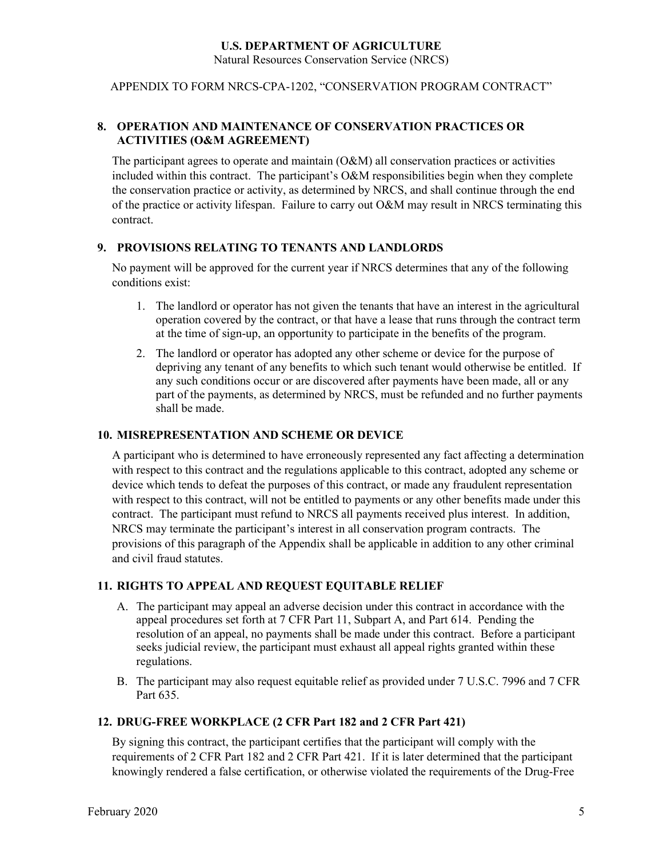APPENDIX TO FORM NRCS-CPA-1202, "CONSERVATION PROGRAM CONTRACT"

#### **8. OPERATION AND MAINTENANCE OF CONSERVATION PRACTICES OR ACTIVITIES (O&M AGREEMENT)**

The participant agrees to operate and maintain (O&M) all conservation practices or activities included within this contract. The participant's O&M responsibilities begin when they complete the conservation practice or activity, as determined by NRCS, and shall continue through the end of the practice or activity lifespan. Failure to carry out O&M may result in NRCS terminating this contract.

#### **9. PROVISIONS RELATING TO TENANTS AND LANDLORDS**

No payment will be approved for the current year if NRCS determines that any of the following conditions exist:

- 1. The landlord or operator has not given the tenants that have an interest in the agricultural operation covered by the contract, or that have a lease that runs through the contract term at the time of sign-up, an opportunity to participate in the benefits of the program.
- 2. The landlord or operator has adopted any other scheme or device for the purpose of depriving any tenant of any benefits to which such tenant would otherwise be entitled. If any such conditions occur or are discovered after payments have been made, all or any part of the payments, as determined by NRCS, must be refunded and no further payments shall be made.

#### **10. MISREPRESENTATION AND SCHEME OR DEVICE**

A participant who is determined to have erroneously represented any fact affecting a determination with respect to this contract and the regulations applicable to this contract, adopted any scheme or device which tends to defeat the purposes of this contract, or made any fraudulent representation with respect to this contract, will not be entitled to payments or any other benefits made under this contract. The participant must refund to NRCS all payments received plus interest. In addition, NRCS may terminate the participant's interest in all conservation program contracts. The provisions of this paragraph of the Appendix shall be applicable in addition to any other criminal and civil fraud statutes.

#### **11. RIGHTS TO APPEAL AND REQUEST EQUITABLE RELIEF**

- A. The participant may appeal an adverse decision under this contract in accordance with the appeal procedures set forth at 7 CFR Part 11, Subpart A, and Part 614. Pending the resolution of an appeal, no payments shall be made under this contract. Before a participant seeks judicial review, the participant must exhaust all appeal rights granted within these regulations.
- B. The participant may also request equitable relief as provided under 7 U.S.C. 7996 and 7 CFR Part 635.

#### **12. DRUG-FREE WORKPLACE (2 CFR Part 182 and 2 CFR Part 421)**

By signing this contract, the participant certifies that the participant will comply with the requirements of 2 CFR Part 182 and 2 CFR Part 421. If it is later determined that the participant knowingly rendered a false certification, or otherwise violated the requirements of the Drug-Free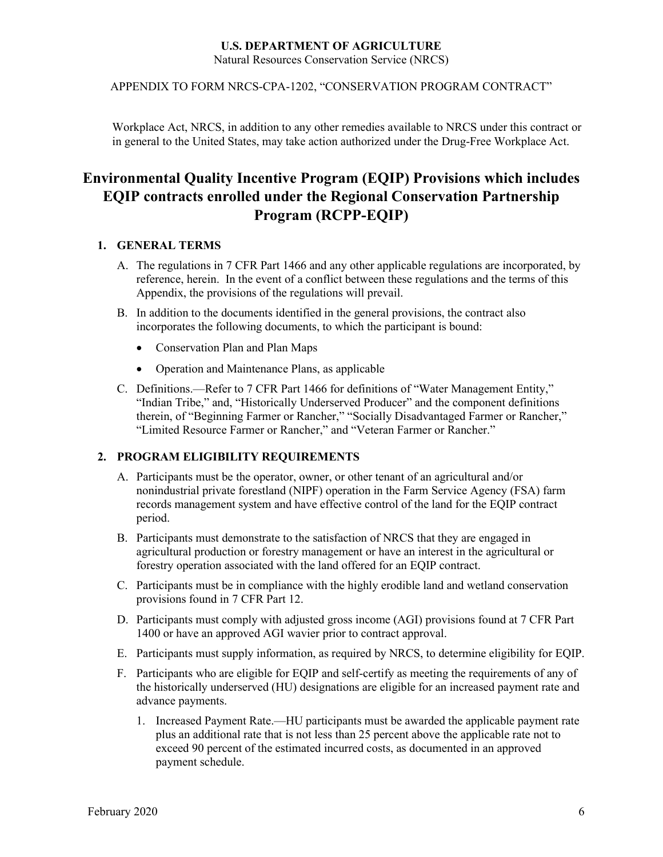APPENDIX TO FORM NRCS-CPA-1202, "CONSERVATION PROGRAM CONTRACT"

Workplace Act, NRCS, in addition to any other remedies available to NRCS under this contract or in general to the United States, may take action authorized under the Drug-Free Workplace Act.

### **Environmental Quality Incentive Program (EQIP) Provisions which includes EQIP contracts enrolled under the Regional Conservation Partnership Program (RCPP-EQIP)**

#### **1. GENERAL TERMS**

- A. The regulations in 7 CFR Part 1466 and any other applicable regulations are incorporated, by reference, herein. In the event of a conflict between these regulations and the terms of this Appendix, the provisions of the regulations will prevail.
- B. In addition to the documents identified in the general provisions, the contract also incorporates the following documents, to which the participant is bound:
	- Conservation Plan and Plan Maps
	- Operation and Maintenance Plans, as applicable
- C. Definitions.—Refer to 7 CFR Part 1466 for definitions of "Water Management Entity," "Indian Tribe," and, "Historically Underserved Producer" and the component definitions therein, of "Beginning Farmer or Rancher," "Socially Disadvantaged Farmer or Rancher," "Limited Resource Farmer or Rancher," and "Veteran Farmer or Rancher."

#### **2. PROGRAM ELIGIBILITY REQUIREMENTS**

- A. Participants must be the operator, owner, or other tenant of an agricultural and/or nonindustrial private forestland (NIPF) operation in the Farm Service Agency (FSA) farm records management system and have effective control of the land for the EQIP contract period.
- B. Participants must demonstrate to the satisfaction of NRCS that they are engaged in agricultural production or forestry management or have an interest in the agricultural or forestry operation associated with the land offered for an EQIP contract.
- C. Participants must be in compliance with the highly erodible land and wetland conservation provisions found in 7 CFR Part 12.
- D. Participants must comply with adjusted gross income (AGI) provisions found at 7 CFR Part 1400 or have an approved AGI wavier prior to contract approval.
- E. Participants must supply information, as required by NRCS, to determine eligibility for EQIP.
- F. Participants who are eligible for EQIP and self-certify as meeting the requirements of any of the historically underserved (HU) designations are eligible for an increased payment rate and advance payments.
	- 1. Increased Payment Rate.—HU participants must be awarded the applicable payment rate plus an additional rate that is not less than 25 percent above the applicable rate not to exceed 90 percent of the estimated incurred costs, as documented in an approved payment schedule.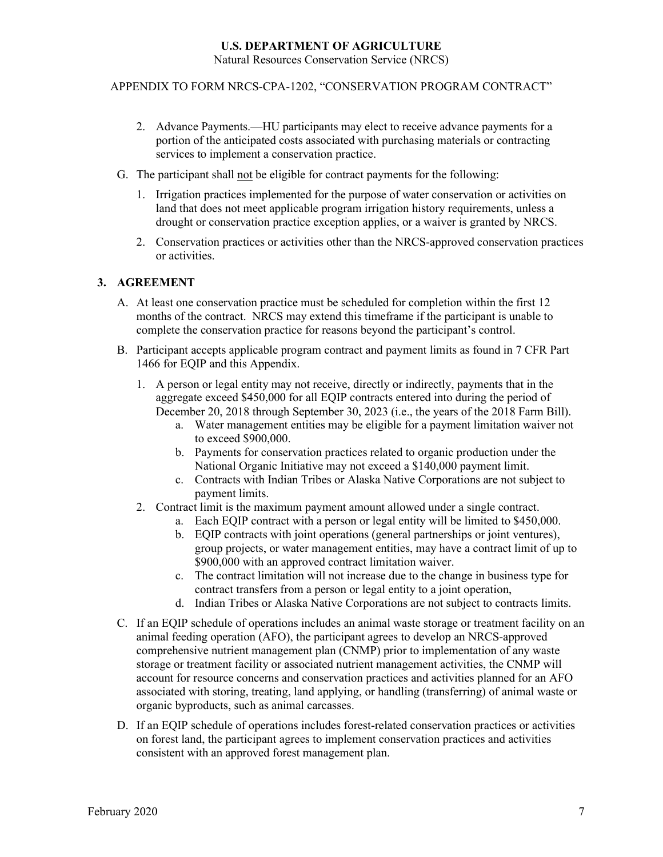Natural Resources Conservation Service (NRCS)

APPENDIX TO FORM NRCS-CPA-1202, "CONSERVATION PROGRAM CONTRACT"

- 2. Advance Payments.—HU participants may elect to receive advance payments for a portion of the anticipated costs associated with purchasing materials or contracting services to implement a conservation practice.
- G. The participant shall not be eligible for contract payments for the following:
	- 1. Irrigation practices implemented for the purpose of water conservation or activities on land that does not meet applicable program irrigation history requirements, unless a drought or conservation practice exception applies, or a waiver is granted by NRCS.
	- 2. Conservation practices or activities other than the NRCS-approved conservation practices or activities.

#### **3. AGREEMENT**

- A. At least one conservation practice must be scheduled for completion within the first 12 months of the contract. NRCS may extend this timeframe if the participant is unable to complete the conservation practice for reasons beyond the participant's control.
- B. Participant accepts applicable program contract and payment limits as found in 7 CFR Part 1466 for EQIP and this Appendix.
	- 1. A person or legal entity may not receive, directly or indirectly, payments that in the aggregate exceed \$450,000 for all EQIP contracts entered into during the period of December 20, 2018 through September 30, 2023 (i.e., the years of the 2018 Farm Bill).
		- a. Water management entities may be eligible for a payment limitation waiver not to exceed \$900,000.
		- b. Payments for conservation practices related to organic production under the National Organic Initiative may not exceed a \$140,000 payment limit.
		- c. Contracts with Indian Tribes or Alaska Native Corporations are not subject to payment limits.
	- 2. Contract limit is the maximum payment amount allowed under a single contract.
		- a. Each EQIP contract with a person or legal entity will be limited to \$450,000.
		- b. EQIP contracts with joint operations (general partnerships or joint ventures), group projects, or water management entities, may have a contract limit of up to \$900,000 with an approved contract limitation waiver.
		- c. The contract limitation will not increase due to the change in business type for contract transfers from a person or legal entity to a joint operation,
		- d. Indian Tribes or Alaska Native Corporations are not subject to contracts limits.
- C. If an EQIP schedule of operations includes an animal waste storage or treatment facility on an animal feeding operation (AFO), the participant agrees to develop an NRCS-approved comprehensive nutrient management plan (CNMP) prior to implementation of any waste storage or treatment facility or associated nutrient management activities, the CNMP will account for resource concerns and conservation practices and activities planned for an AFO associated with storing, treating, land applying, or handling (transferring) of animal waste or organic byproducts, such as animal carcasses.
- D. If an EQIP schedule of operations includes forest-related conservation practices or activities on forest land, the participant agrees to implement conservation practices and activities consistent with an approved forest management plan.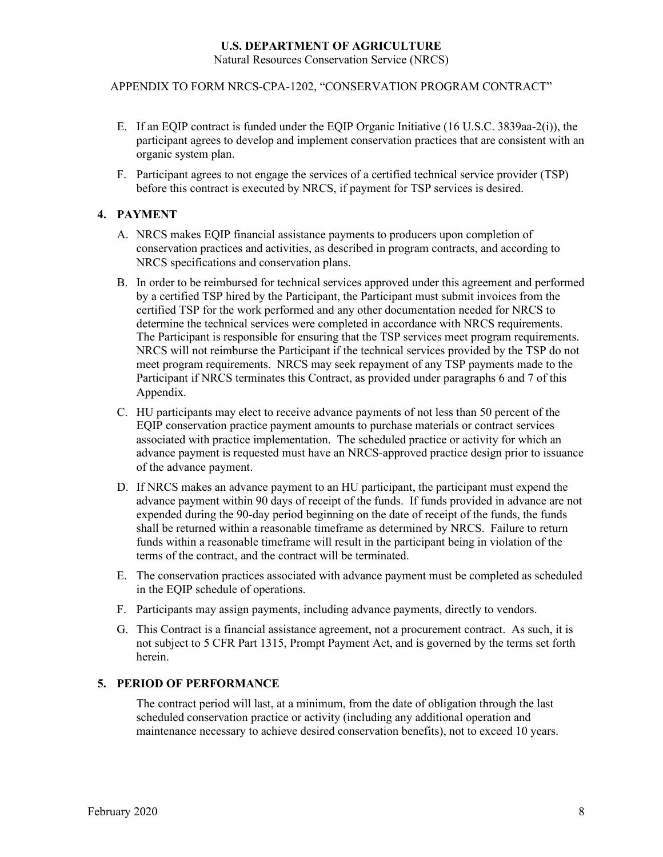Natural Resources Conservation Service (NRCS)

APPENDIX TO FORM NRCS-CPA-1202, "CONSERVATION PROGRAM CONTRACT"

- E. If an EQIP contract is funded under the EQIP Organic Initiative (16 U.S.C. 3839aa-2(i)), the participant agrees to develop and implement conservation practices that are consistent with an organic system plan.
- F. Participant agrees to not engage the services of a certified technical service provider (TSP) before this contract is executed by NRCS, if payment for TSP services is desired.

#### **4. PAYMENT**

- A. NRCS makes EQIP financial assistance payments to producers upon completion of conservation practices and activities, as described in program contracts, and according to NRCS specifications and conservation plans.
- B. In order to be reimbursed for technical services approved under this agreement and performed by a certified TSP hired by the Participant, the Participant must submit invoices from the certified TSP for the work performed and any other documentation needed for NRCS to determine the technical services were completed in accordance with NRCS requirements. The Participant is responsible for ensuring that the TSP services meet program requirements. NRCS will not reimburse the Participant if the technical services provided by the TSP do not meet program requirements. NRCS may seek repayment of any TSP payments made to the Participant if NRCS terminates this Contract, as provided under paragraphs 6 and 7 of this Appendix.
- C. HU participants may elect to receive advance payments of not less than 50 percent of the EQIP conservation practice payment amounts to purchase materials or contract services associated with practice implementation. The scheduled practice or activity for which an advance payment is requested must have an NRCS-approved practice design prior to issuance of the advance payment.
- D. If NRCS makes an advance payment to an HU participant, the participant must expend the advance payment within 90 days of receipt of the funds. If funds provided in advance are not expended during the 90-day period beginning on the date of receipt of the funds, the funds shall be returned within a reasonable timeframe as determined by NRCS. Failure to return funds within a reasonable timeframe will result in the participant being in violation of the terms of the contract, and the contract will be terminated.
- E. The conservation practices associated with advance payment must be completed as scheduled in the EQIP schedule of operations.
- F. Participants may assign payments, including advance payments, directly to vendors.
- G. This Contract is a financial assistance agreement, not a procurement contract. As such, it is not subject to 5 CFR Part 1315, Prompt Payment Act, and is governed by the terms set forth herein.

#### **5. PERIOD OF PERFORMANCE**

The contract period will last, at a minimum, from the date of obligation through the last scheduled conservation practice or activity (including any additional operation and maintenance necessary to achieve desired conservation benefits), not to exceed 10 years.